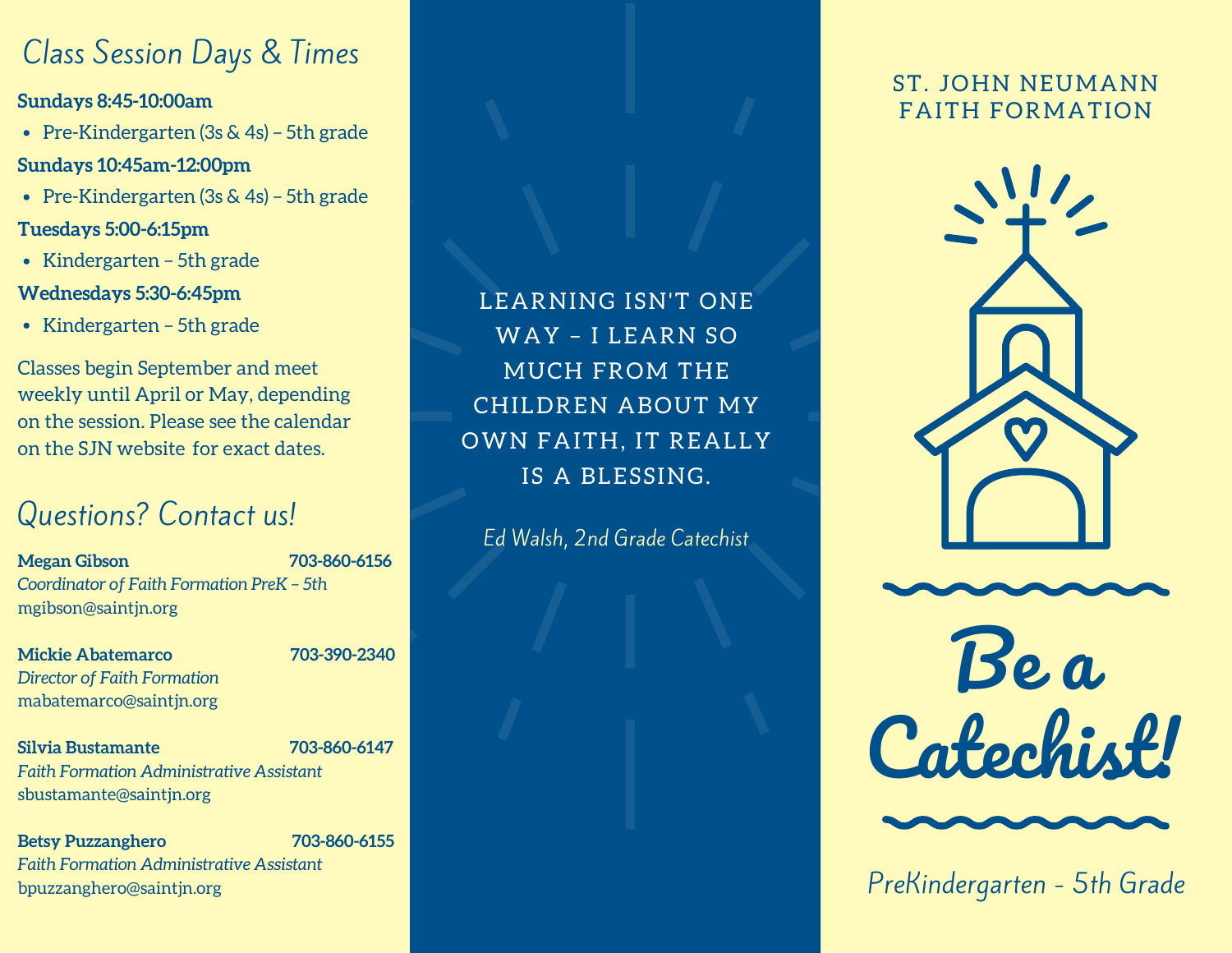## Class Session Days & Times

**Sundays 8:45-10:00am**

- Pre-Kindergarten (3s & 4s) 5th grade **Sundays 10:45am-12:00pm**
- Pre-Kindergarten (3s & 4s) 5th grade

#### **Tuesdays 5:00-6:15pm**

• Kindergarten – 5th grade

#### **Wednesdays 5:30-6:45pm**

 $\bullet$  Kindergarten – 5th grade

Classes begin September and meet weekly until April or May, depending on the session. Please see the calendar on the SJN website for exact dates.

## Questions? Contact us!

**Megan Gibson 703-860-6156** *Coordinator of Faith Formation PreK – 5th* mgibson@saintjn.org

**Mickie Abatemarco 703-390-2340** *Director of Faith Formation* mabatemarco@saintjn.org

**Silvia Bustamante 703-860-6147** *Faith Formation Administrative Assistant* sbustamante@saintjn.org

**Betsy Puzzanghero 703-860-6155** *Faith Formation Administrative Assistant* bpuzzanghero@saintjn.org

LEARNING ISN'T ONE WAY – I LEARN SO MUCH FROM THE CHILDREN ABOUT MY OWN FAITH, IT REALLY IS A BLESSING.

Ed Walsh, 2nd Grade Catechist

#### ST. JOHN NEUMANN FAITH FORMATION



Be a **Catechist!** 

PreKindergarten - 5th Grade